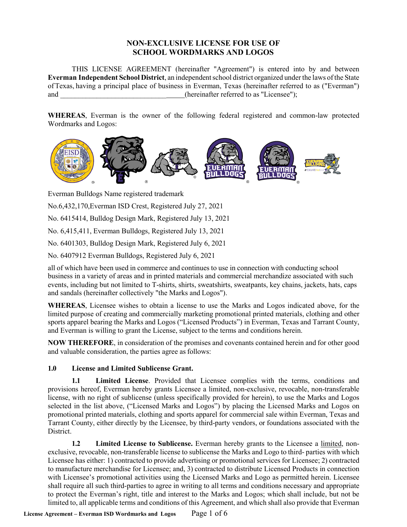# **NON-EXCLUSIVE LICENSE FOR USE OF SCHOOL WORDMARKS AND LOGOS**

THIS LICENSE AGREEMENT (hereinafter "Agreement") is entered into by and between **Everman Independent School District**, an independent school district organized under the laws of the State ofTexas, having a principal place of business in Everman, Texas (hereinafter referred to as ("Everman") and  $(hereinafter referred to as "Licensee");$ 

**WHEREAS**, Everman is the owner of the following federal registered and common-law protected Wordmarks and Logos:



Everman Bulldogs Name registered trademark

No.6,432,170,Everman ISD Crest, Registered July 27, 2021

No. 6415414, Bulldog Design Mark, Registered July 13, 2021

No. 6,415,411, Everman Bulldogs, Registered July 13, 2021

No. 6401303, Bulldog Design Mark, Registered July 6, 2021

No. 6407912 Everman Bulldogs, Registered July 6, 2021

all of which have been used in commerce and continues to use in connection with conducting school business in a variety of areas and in printed materials and commercial merchandize associated with such events, including but not limited to T-shirts, shirts, sweatshirts, sweatpants, key chains, jackets, hats, caps and sandals (hereinafter collectively "the Marks and Logos").

**WHEREAS**, Licensee wishes to obtain a license to use the Marks and Logos indicated above, for the limited purpose of creating and commercially marketing promotional printed materials, clothing and other sports apparel bearing the Marks and Logos ("Licensed Products") in Everman, Texas and Tarrant County, and Everman is willing to grant the License, subject to the terms and conditions herein.

**NOW THEREFORE**, in consideration of the promises and covenants contained herein and for other good and valuable consideration, the parties agree as follows:

#### **1.0 License and Limited Sublicense Grant.**

**1.1 Limited License**. Provided that Licensee complies with the terms, conditions and provisions hereof, Everman hereby grants Licensee a limited, non-exclusive, revocable, non-transferable license, with no right of sublicense (unless specifically provided for herein), to use the Marks and Logos selected in the list above, ("Licensed Marks and Logos") by placing the Licensed Marks and Logos on promotional printed materials, clothing and sports apparel for commercial sale within Everman, Texas and Tarrant County, either directly by the Licensee, by third-party vendors, or foundations associated with the District.

**1.2 Limited License to Sublicense.** Everman hereby grants to the Licensee a limited, nonexclusive, revocable, non-transferable license to sublicense the Marks and Logo to third- parties with which Licensee has either: 1) contracted to provide advertising or promotional services for Licensee; 2) contracted to manufacture merchandise for Licensee; and, 3) contracted to distribute Licensed Products in connection with Licensee's promotional activities using the Licensed Marks and Logo as permitted herein. Licensee shall require all such third-parties to agree in writing to all terms and conditions necessary and appropriate to protect the Everman's right, title and interest to the Marks and Logos; which shall include, but not be limited to, all applicable terms and conditions of this Agreement, and which shall also provide that Everman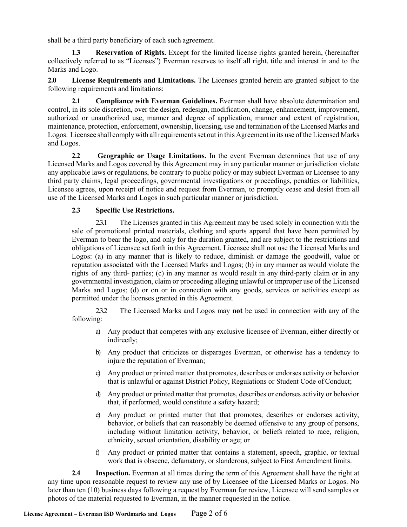shall be a third party beneficiary of each such agreement.

**1.3 Reservation of Rights.** Except for the limited license rights granted herein, (hereinafter collectively referred to as "Licenses") Everman reserves to itself all right, title and interest in and to the Marks and Logo.

**2.0 License Requirements and Limitations.** The Licenses granted herein are granted subject to the following requirements and limitations:

**2.1 Compliance with Everman Guidelines.** Everman shall have absolute determination and control, in its sole discretion, over the design, redesign, modification, change, enhancement, improvement, authorized or unauthorized use, manner and degree of application, manner and extent of registration, maintenance, protection, enforcement, ownership, licensing, use and termination of the Licensed Marks and Logos. Licensee shall comply with all requirements set out in this Agreement in its use of the Licensed Marks and Logos.

**2.2 Geographic or Usage Limitations.** In the event Everman determines that use of any Licensed Marks and Logos covered by this Agreement may in any particular manner or jurisdiction violate any applicable laws or regulations, be contrary to public policy or may subject Everman or Licensee to any third party claims, legal proceedings, governmental investigations or proceedings, penalties or liabilities, Licensee agrees, upon receipt of notice and request from Everman, to promptly cease and desist from all use of the Licensed Marks and Logos in such particular manner or jurisdiction.

# **2.3 Specific Use Restrictions.**

2.3.1 The Licenses granted in this Agreement may be used solely in connection with the sale of promotional printed materials, clothing and sports apparel that have been permitted by Everman to bear the logo, and only for the duration granted, and are subject to the restrictions and obligations of Licensee set forth in this Agreement. Licensee shall not use the Licensed Marks and Logos: (a) in any manner that is likely to reduce, diminish or damage the goodwill, value or reputation associated with the Licensed Marks and Logos; (b) in any manner as would violate the rights of any third- parties; (c) in any manner as would result in any third-party claim or in any governmental investigation, claim or proceeding alleging unlawful or improper use of the Licensed Marks and Logos; (d) or on or in connection with any goods, services or activities except as permitted under the licenses granted in this Agreement.

2.3.2 The Licensed Marks and Logos may **not** be used in connection with any of the following:

- a) Any product that competes with any exclusive licensee of Everman, either directly or indirectly;
- b) Any product that criticizes or disparages Everman, or otherwise has a tendency to injure the reputation of Everman;
- c) Any product or printed matter that promotes, describes or endorses activity or behavior that is unlawful or against District Policy, Regulations or Student Code of Conduct;
- d) Any product or printed matter that promotes, describes or endorses activity or behavior that, if performed, would constitute a safety hazard;
- e) Any product or printed matter that that promotes, describes or endorses activity, behavior, or beliefs that can reasonably be deemed offensive to any group of persons, including without limitation activity, behavior, or beliefs related to race, religion, ethnicity, sexual orientation, disability or age; or
- f) Any product or printed matter that contains a statement, speech, graphic, or textual work that is obscene, defamatory, or slanderous, subject to First Amendment limits.

**2.4 Inspection.** Everman at all times during the term of this Agreement shall have the right at any time upon reasonable request to review any use of by Licensee of the Licensed Marks or Logos. No later than ten (10) business days following a request by Everman for review, Licensee will send samples or photos of the material requested to Everman, in the manner requested in the notice.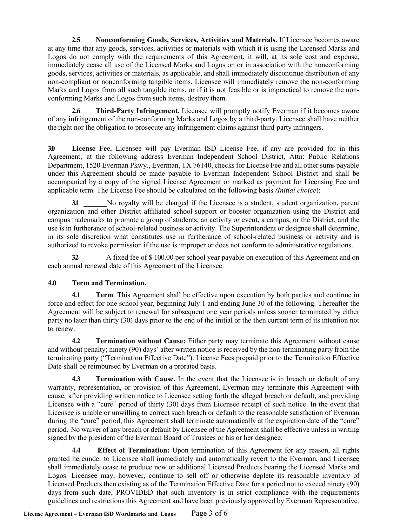**2.5 Nonconforming Goods, Services, Activities and Materials.** If Licensee becomes aware at any time that any goods, services, activities or materials with which it is using the Licensed Marks and Logos do not comply with the requirements of this Agreement, it will, at its sole cost and expense, immediately cease all use of the Licensed Marks and Logos on or in association with the nonconforming goods, services, activities or materials, as applicable, and shall immediately discontinue distribution of any non-compliant or nonconforming tangible items. Licensee will immediately remove the non-conforming Marks and Logos from all such tangible items, or if it is not feasible or is impractical to remove the nonconforming Marks and Logos from such items, destroy them.

**2.6 Third-Party Infringement.** Licensee will promptly notify Everman if it becomes aware of any infringement of the non-conforming Marks and Logos by a third-party. Licensee shall have neither the right nor the obligation to prosecute any infringement claims against third-party infringers.

**3.0 License Fee.** Licensee will pay Everman ISD License Fee, if any are provided for in this Agreement, at the following address Everman Independent School District, Attn: Public Relations Department, 1520 Everman Pkwy., Everman, TX 76140, checks for License Fee and all other sums payable under this Agreement should be made payable to Everman Independent School District and shall be accompanied by a copy of the signed License Agreement or marked as payment for Licensing Fee and applicable term. The License Fee should be calculated on the following basis *(Initial choice*):

**3.1** No royalty will be charged if the Licensee is a student, student organization, parent organization and other District affiliated school-support or booster organization using the District and campus trademarks to promote a group of students, an activity or event, a campus, or the District, and the use is in furtherance of school-related business or activity. The Superintendent or designee shall determine, in its sole discretion what constitutes use in furtherance of school-related business or activity and is authorized to revoke permission if the use is improper or does not conform to administrative regulations.

**3.2** A fixed fee of \$ 100.00 per school year payable on execution of this Agreement and on each annual renewal date of this Agreement of the Licensee.

# **4.0 Term and Termination.**

**4.1 Term**. This Agreement shall be effective upon execution by both parties and continue in force and effect for one school year, beginning July 1 and ending June 30 of the following. Thereafter the Agreement will be subject to renewal for subsequent one year periods unless sooner terminated by either party no later than thirty (30) days prior to the end of the initial or the then current term of its intention not to renew.

**4.2 Termination without Cause:** Either party may terminate this Agreement without cause and without penalty; ninety (90) days' after written notice is received by the non-terminating party from the terminating party ("Termination Effective Date"). License Fees prepaid prior to the Termination Effective Date shall be reimbursed by Everman on a prorated basis.

**4.3 Termination with Cause.** In the event that the Licensee is in breach or default of any warranty, representation, or provision of this Agreement, Everman may terminate this Agreement with cause, after providing written notice to Licensee setting forth the alleged breach or default, and providing Licensee with a "cure" period of thirty (30) days from Licensee receipt of such notice. In the event that Licensee is unable or unwilling to correct such breach or default to the reasonable satisfaction of Everman during the "cure" period, this Agreement shall terminate automatically at the expiration date of the "cure" period. No waiver of any breach or default by Licensee of the Agreement shall be effective unlessin writing signed by the president of the Everman Board of Trustees or his or her designee.

**4.4 Effect of Termination:** Upon termination of this Agreement for any reason, all rights granted hereunder to Licensee shall immediately and automatically revert to the Everman, and Licensee shall immediately cease to produce new or additional Licensed Products bearing the Licensed Marks and Logos. Licensee may, however, continue to sell off or otherwise deplete its reasonable inventory of Licensed Products then existing as of the Termination Effective Date for a period not to exceed ninety (90) days from such date, PROVIDED that such inventory is in strict compliance with the requirements guidelines and restrictions this Agreement and have been previously approved by Everman Representative.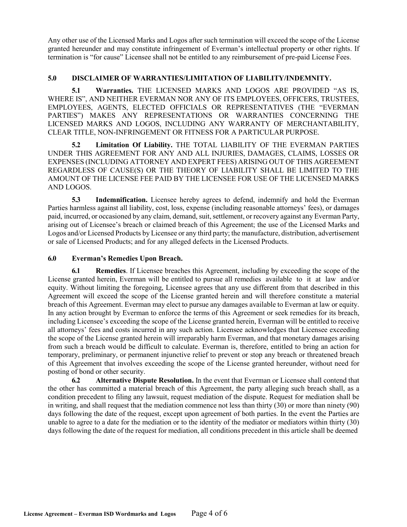Any other use of the Licensed Marks and Logos after such termination will exceed the scope of the License granted hereunder and may constitute infringement of Everman's intellectual property or other rights. If termination is "for cause" Licensee shall not be entitled to any reimbursement of pre-paid License Fees.

# **5.0 DISCLAIMER OF WARRANTIES/LIMITATION OF LIABILITY/INDEMNITY.**

**5.1 Warranties.** THE LICENSED MARKS AND LOGOS ARE PROVIDED "AS IS, WHERE IS", AND NEITHER EVERMAN NOR ANY OF ITS EMPLOYEES, OFFICERS, TRUSTEES, EMPLOYEES, AGENTS, ELECTED OFFICIALS OR REPRESENTATIVES (THE "EVERMAN PARTIES") MAKES ANY REPRESENTATIONS OR WARRANTIES CONCERNING THE LICENSED MARKS AND LOGOS, INCLUDING ANY WARRANTY OF MERCHANTABILITY, CLEAR TITLE, NON-INFRINGEMENT OR FITNESS FOR A PARTICULAR PURPOSE.

**5.2 Limitation Of Liability.** THE TOTAL LIABILITY OF THE EVERMAN PARTIES UNDER THIS AGREEMENT FOR ANY AND ALL INJURIES, DAMAGES, CLAIMS, LOSSES OR EXPENSES (INCLUDING ATTORNEY AND EXPERT FEES) ARISING OUT OF THIS AGREEMENT REGARDLESS OF CAUSE(S) OR THE THEORY OF LIABILITY SHALL BE LIMITED TO THE AMOUNT OF THE LICENSE FEE PAID BY THE LICENSEE FOR USE OF THE LICENSED MARKS AND LOGOS.

**5.3 Indemnification.** Licensee hereby agrees to defend, indemnify and hold the Everman Parties harmless against all liability, cost, loss, expense (including reasonable attorneys' fees), or damages paid, incurred, or occasioned by any claim, demand, suit, settlement, or recovery against any Everman Party, arising out of Licensee's breach or claimed breach of this Agreement; the use of the Licensed Marks and Logos and/or Licensed Products by Licensee or any third party; the manufacture, distribution, advertisement or sale of Licensed Products; and for any alleged defects in the Licensed Products.

#### **6.0 Everman's Remedies Upon Breach.**

**6.1 Remedies**. If Licensee breaches this Agreement, including by exceeding the scope of the License granted herein, Everman will be entitled to pursue all remedies available to it at law and/or equity. Without limiting the foregoing, Licensee agrees that any use different from that described in this Agreement will exceed the scope of the License granted herein and will therefore constitute a material breach of this Agreement. Everman may elect to pursue any damages available to Everman at law or equity. In any action brought by Everman to enforce the terms of this Agreement or seek remedies for its breach, including Licensee's exceeding the scope of the License granted herein, Everman will be entitled to receive all attorneys' fees and costs incurred in any such action. Licensee acknowledges that Licensee exceeding the scope of the License granted herein will irreparably harm Everman, and that monetary damages arising from such a breach would be difficult to calculate. Everman is, therefore, entitled to bring an action for temporary, preliminary, or permanent injunctive relief to prevent or stop any breach or threatened breach of this Agreement that involves exceeding the scope of the License granted hereunder, without need for posting of bond or other security.

**6.2 Alternative Dispute Resolution.** In the event that Everman or Licensee shall contend that the other has committed a material breach of this Agreement, the party alleging such breach shall, as a condition precedent to filing any lawsuit, request mediation of the dispute. Request for mediation shall be in writing, and shall request that the mediation commence not less than thirty (30) or more than ninety (90) days following the date of the request, except upon agreement of both parties. In the event the Parties are unable to agree to a date for the mediation or to the identity of the mediator or mediators within thirty (30) days following the date of the request for mediation, all conditions precedent in this article shall be deemed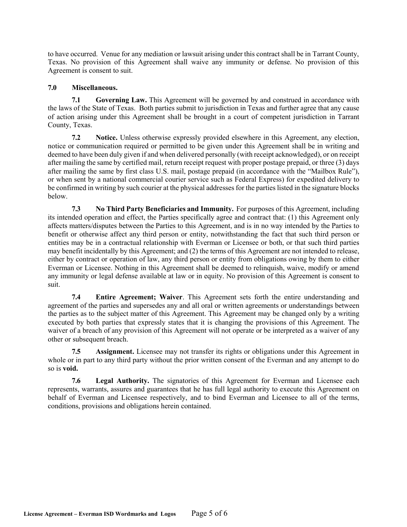to have occurred. Venue for any mediation or lawsuit arising under this contract shall be in Tarrant County, Texas. No provision of this Agreement shall waive any immunity or defense. No provision of this Agreement is consent to suit.

#### **7.0 Miscellaneous.**

**7.1 Governing Law.** This Agreement will be governed by and construed in accordance with the laws of the State of Texas. Both parties submit to jurisdiction in Texas and further agree that any cause of action arising under this Agreement shall be brought in a court of competent jurisdiction in Tarrant County, Texas.

**7.2 Notice.** Unless otherwise expressly provided elsewhere in this Agreement, any election, notice or communication required or permitted to be given under this Agreement shall be in writing and deemed to have been duly given if and when delivered personally (with receipt acknowledged), or on receipt after mailing the same by certified mail, return receipt request with proper postage prepaid, or three (3) days after mailing the same by first class U.S. mail, postage prepaid (in accordance with the "Mailbox Rule"), or when sent by a national commercial courier service such as Federal Express) for expedited delivery to be confirmed in writing by such courier at the physical addresses for the parties listed in the signature blocks below.

**7.3 No Third Party Beneficiaries and Immunity.** For purposes of this Agreement, including its intended operation and effect, the Parties specifically agree and contract that: (1) this Agreement only affects matters/disputes between the Parties to this Agreement, and is in no way intended by the Parties to benefit or otherwise affect any third person or entity, notwithstanding the fact that such third person or entities may be in a contractual relationship with Everman or Licensee or both, or that such third parties may benefit incidentally by this Agreement; and (2) the terms of this Agreement are not intended to release, either by contract or operation of law, any third person or entity from obligations owing by them to either Everman or Licensee. Nothing in this Agreement shall be deemed to relinquish, waive, modify or amend any immunity or legal defense available at law or in equity. No provision of this Agreement is consent to suit.

**7.4 Entire Agreement; Waiver**. This Agreement sets forth the entire understanding and agreement of the parties and supersedes any and all oral or written agreements or understandings between the parties as to the subject matter of this Agreement. This Agreement may be changed only by a writing executed by both parties that expressly states that it is changing the provisions of this Agreement. The waiver of a breach of any provision of this Agreement will not operate or be interpreted as a waiver of any other or subsequent breach.

**7.5 Assignment.** Licensee may not transfer its rights or obligations under this Agreement in whole or in part to any third party without the prior written consent of the Everman and any attempt to do so is **void.**

**7.6 Legal Authority.** The signatories of this Agreement for Everman and Licensee each represents, warrants, assures and guarantees that he has full legal authority to execute this Agreement on behalf of Everman and Licensee respectively, and to bind Everman and Licensee to all of the terms, conditions, provisions and obligations herein contained.